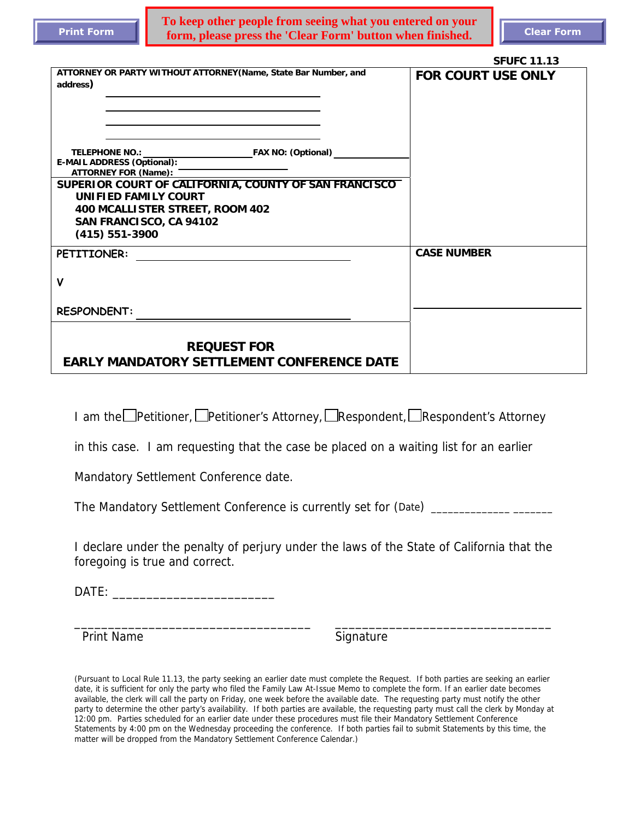j

**To keep other people from seeing what you entered on your form, please press the 'Clear Form' button when finished.** Clear Form

|                                                                                                                 | <b>SFUFC 11.13</b>        |
|-----------------------------------------------------------------------------------------------------------------|---------------------------|
| ATTORNEY OR PARTY WITHOUT ATTORNEY (Name, State Bar Number, and<br>address)                                     | <b>FOR COURT USE ONLY</b> |
| <b>TELEPHONE NO.:</b><br>FAX NO: (Optional)<br><b>E-MAIL ADDRESS (Optional):</b><br><b>ATTORNEY FOR (Name):</b> |                           |
| SUPERIOR COURT OF CALIFORNIA, COUNTY OF SAN FRANCISCO                                                           |                           |
| UNIFIED FAMILY COURT                                                                                            |                           |
| 400 MCALLISTER STREET, ROOM 402                                                                                 |                           |
| SAN FRANCISCO, CA 94102                                                                                         |                           |
| $(415) 551 - 3900$                                                                                              |                           |
| PETITIONER:                                                                                                     | <b>CASE NUMBER</b>        |
|                                                                                                                 |                           |
| V                                                                                                               |                           |
|                                                                                                                 |                           |
| <b>RESPONDENT:</b>                                                                                              |                           |
|                                                                                                                 |                           |
|                                                                                                                 |                           |
| <b>REQUEST FOR</b>                                                                                              |                           |
| <b>EARLY MANDATORY SETTLEMENT CONFERENCE DATE</b>                                                               |                           |

I am the **Petitioner,** 
□ Petitioner's Attorney, 
□ Respondent's Attorney, 
□ Respondent's Attorney

in this case. I am requesting that the case be placed on a waiting list for an earlier

Mandatory Settlement Conference date.

The Mandatory Settlement Conference is currently set for (Date) \_\_\_\_\_\_\_\_\_\_\_\_\_\_\_\_

I declare under the penalty of perjury under the laws of the State of California that the foregoing is true and correct.

\_\_\_\_\_\_\_\_\_\_\_\_\_\_\_\_\_\_\_\_\_\_\_\_\_\_\_\_\_\_\_\_\_\_\_ \_\_\_\_\_\_\_\_\_\_\_\_\_\_\_\_\_\_\_\_\_\_\_\_\_\_\_\_\_\_\_\_

DATE: \_\_\_\_\_\_\_\_\_\_\_\_\_\_\_\_\_\_\_\_\_\_\_\_

Print Name Signature Signature

(Pursuant to Local Rule 11.13, the party seeking an earlier date must complete the Request. If both parties are seeking an earlier date, it is sufficient for only the party who filed the Family Law At-Issue Memo to complete the form. If an earlier date becomes available, the clerk will call the party on Friday, one week before the available date. The requesting party must notify the other party to determine the other party's availability. If both parties are available, the requesting party must call the clerk by Monday at 12:00 pm. Parties scheduled for an earlier date under these procedures must file their Mandatory Settlement Conference Statements by 4:00 pm on the Wednesday proceeding the conference. If both parties fail to submit Statements by this time, the matter will be dropped from the Mandatory Settlement Conference Calendar.)